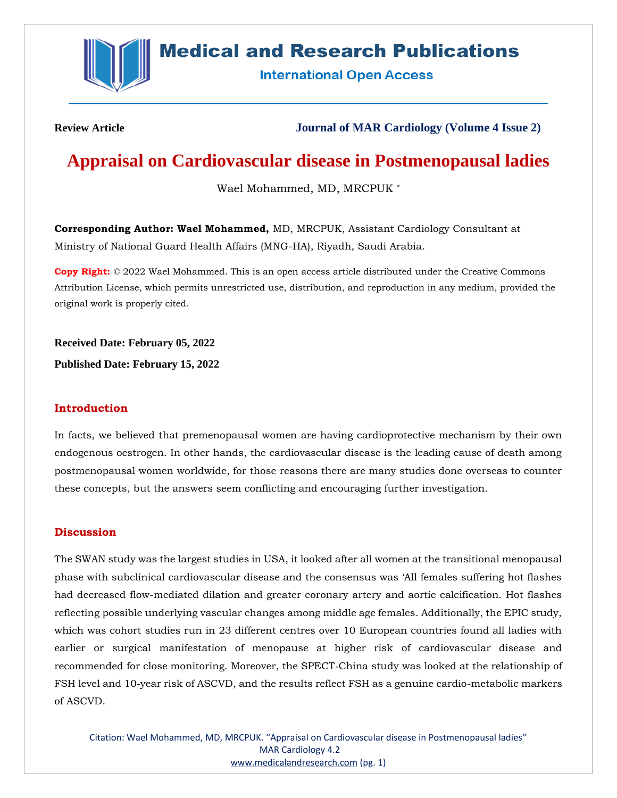

## **Medical and Research Publications**

**International Open Access** 

**Review Article Journal of MAR Cardiology (Volume 4 Issue 2)**

# **Appraisal on Cardiovascular disease in Postmenopausal ladies**

Wael Mohammed, MD, MRCPUK \*

**Corresponding Author: Wael Mohammed,** MD, MRCPUK, Assistant Cardiology Consultant at Ministry of National Guard Health Affairs (MNG-HA), Riyadh, Saudi Arabia.

**Copy Right:** © 2022 Wael Mohammed. This is an open access article distributed under the Creative Commons Attribution License, which permits unrestricted use, distribution, and reproduction in any medium, provided the original work is properly cited.

**Received Date: February 05, 2022**

**Published Date: February 15, 2022**

### **Introduction**

In facts, we believed that premenopausal women are having cardioprotective mechanism by their own endogenous oestrogen. In other hands, the cardiovascular disease is the leading cause of death among postmenopausal women worldwide, for those reasons there are many studies done overseas to counter these concepts, but the answers seem conflicting and encouraging further investigation.

### **Discussion**

The SWAN study was the largest studies in USA, it looked after all women at the transitional menopausal phase with subclinical cardiovascular disease and the consensus was 'All females suffering hot flashes had decreased flow-mediated dilation and greater coronary artery and aortic calcification. Hot flashes reflecting possible underlying vascular changes among middle age females. Additionally, the EPIC study, which was cohort studies run in 23 different centres over 10 European countries found all ladies with earlier or surgical manifestation of menopause at higher risk of cardiovascular disease and recommended for close monitoring. Moreover, the SPECT‐China study was looked at the relationship of FSH level and 10‐year risk of ASCVD, and the results reflect FSH as a genuine cardio-metabolic markers of ASCVD.

Citation: Wael Mohammed, MD, MRCPUK. "Appraisal on Cardiovascular disease in Postmenopausal ladies" MAR Cardiology 4.2 [www.medicalandresearch.com](http://www.medicalandresearch.com/) (pg. 1)